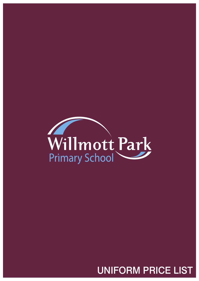

## UNIFORM PRICE LIST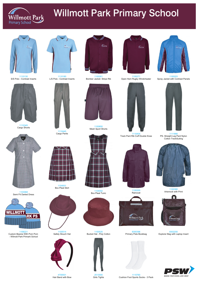

# Willmott Park Primary School



1110130 S/S Polo - Contrast Inserts



1110180 L/S Polo - Contrast Inserts



1100261 Bomber Jacket- Stripe Rib



1100271 Open Hem Rugby Windcheater



1111866 PS- Straight Leg Pant Nylon Cotton TrackSuiting



1100203 Spray Jacket with Contrast Panels



1110345 Cargo Shorts



1110445 Cargo Pants



1100850 Mesh Sport Shorts



1110404 Track Pant Rib Cuff Double Knee





1103068 Semi Fit Darted Dress

1104001 Box Pleat Skirt





1100200 Raincoat





1100380 Artsmock with Print



4700001 Hair Band with Bow

















1100525 Bucket Hat - Poly Cotton

8300396 Primary Pete Bookbag

8302200 Explorer Bag with Laptop Insert



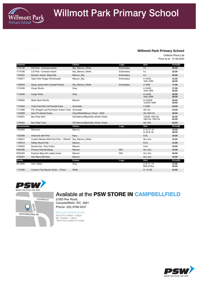

# Willmott Park Primary School

### **Willmott Park Primary School**

Uniform Price List Price as at: 31-08-2020

| <b>General</b>     |                                                       | <b>Colour</b>                     | Logo       | <b>Size</b>                       | Price(\$)      |
|--------------------|-------------------------------------------------------|-----------------------------------|------------|-----------------------------------|----------------|
| 1110130            | S/S Polo - Contrast Inserts                           | Sky Maroon White                  | Embroidery | $4-L$                             | 30.00          |
| 1110180            | L/S Polo - Contrast Inserts                           | Sky Maroon White                  | Embroidery | $4-L$                             | 32.00          |
| 1100261            | Bomber Jacket- Stripe Rib                             | Maroon Sky                        | Embroidery | $4-L$                             | 46.00          |
| 1100271            | Open Hem Rugby Windcheater                            | Maroon Sky                        | Embroidery | $4-14/XS$<br>16/S-18/M            | 41.95<br>45.95 |
| 1100203            | Spray Jacket with Contrast Panels                     | Sky Maroon White                  | Embroidery | $4 - 18/M$                        | 77.00          |
| 1110345            | Cargo Shorts                                          | Grey                              |            | $4-14/XS$<br>16/S-18/M            | 27.95<br>30.95 |
| 1110445            | Cargo Pants                                           | Grey                              |            | $4-14/XS$<br>16/S-18/M            | 35.95<br>39.95 |
| 1100850            | <b>Mesh Sport Shorts</b>                              | Maroon                            |            | 4-10/3XS<br>12/2XS-18/M           | 26.95<br>29.95 |
| 1110404            | <b>Track Pant Rib Cuff Double Knee</b>                | Gunmetal                          |            | $4 - 18/M$                        | 24.00          |
| 1111866            | PS- Straight Leg Pant Nylon Cotton Track Gunmetal     |                                   |            | 4G-12L                            | 23.00          |
| 1103068            | Semi Fit Darted Dress                                 | Grey/White/Maroon Check - 8030    |            | 4G-18G/12L                        | 48.95          |
| 1104001            | <b>Box Pleat Skirt</b>                                | 532-Maroon/Black/Sky Winter Check |            | 12G/6L-16G/10L<br>18G/12L-18G/12L | 52.95<br>63.95 |
| 1104002            | <b>Box Pleat Tunic</b>                                | 532-Maroon/Black/Sky Winter Check |            | 4G-10G                            | 52.95          |
| <b>Accessories</b> |                                                       | <b>Colour</b>                     | Logo       | <b>Size</b>                       | Price(\$)      |
| 1100200            | Raincoat                                              | Maroon                            |            | $4 - 6 - 12 - 14$<br>$S-M-S-M$    | 43.50<br>46.50 |
| 1100380            | <b>Artsmock with Print</b>                            | Navy                              |            | S-XL                              | 19.95          |
| 1106221            | Custom Beanie With Pom Pom - Wilmott Sky Maroon White |                                   |            | ALL-ALL                           | 12.50          |
| 1100514            | Safety Slouch Hat                                     | Maroon                            |            | S-XL                              | 13.95          |
| 1100525            | <b>Bucket Hat - Poly Cotton</b>                       | Maroon                            |            | S-XL                              | 10.95          |
| 8300396            | Primary Pete Bookbag                                  | Maroon                            | <b>NHI</b> | ALL-ALL                           | 13.95          |
| 8302200            | Explorer Bag with Laptop Insert                       | Maroon                            | <b>NHI</b> | ALL-ALL                           | 46.00          |
| 4700001            | Hair Band with Bow                                    | Maroon                            |            | ALL-ALL                           | 10.50          |
| <b>Socks</b>       |                                                       | Colour                            | Logo       | <b>Size</b>                       | Price(\$)      |
| 2513000            | <b>Girls Tights</b>                                   | Grey                              |            | $4 - 6 - 11 - 14$<br>MID-XTALL    | 12.95<br>16.95 |
| 1110760            | <b>Cushion Foot Sports Socks - 3 Pack</b>             | White                             |            | $9 - 12 - OS$                     | 15.95          |



2/283 Rex Road, Campbellfield, VIC. 3061 Phone: (03) 9768 0337

### REGULAR TRADING HOURS

Tues to Fri: 9:00am - 5:00pm Sat: 10:00am - 1:00pm \*Store hours subject to change







COOPER ST